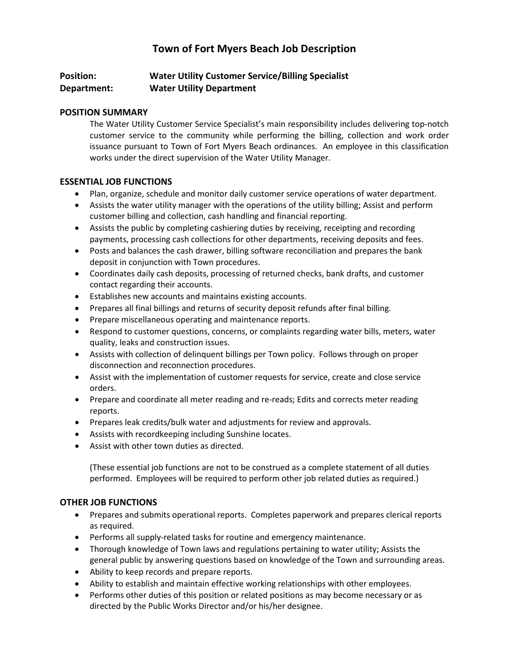# **Town of Fort Myers Beach Job Description**

# **Position: Water Utility Customer Service/Billing Specialist Department: Water Utility Department**

#### **POSITION SUMMARY**

The Water Utility Customer Service Specialist's main responsibility includes delivering top-notch customer service to the community while performing the billing, collection and work order issuance pursuant to Town of Fort Myers Beach ordinances. An employee in this classification works under the direct supervision of the Water Utility Manager.

#### **ESSENTIAL JOB FUNCTIONS**

- Plan, organize, schedule and monitor daily customer service operations of water department.
- Assists the water utility manager with the operations of the utility billing; Assist and perform customer billing and collection, cash handling and financial reporting.
- Assists the public by completing cashiering duties by receiving, receipting and recording payments, processing cash collections for other departments, receiving deposits and fees.
- Posts and balances the cash drawer, billing software reconciliation and prepares the bank deposit in conjunction with Town procedures.
- Coordinates daily cash deposits, processing of returned checks, bank drafts, and customer contact regarding their accounts.
- Establishes new accounts and maintains existing accounts.
- Prepares all final billings and returns of security deposit refunds after final billing.
- Prepare miscellaneous operating and maintenance reports.
- Respond to customer questions, concerns, or complaints regarding water bills, meters, water quality, leaks and construction issues.
- Assists with collection of delinquent billings per Town policy. Follows through on proper disconnection and reconnection procedures.
- Assist with the implementation of customer requests for service, create and close service orders.
- Prepare and coordinate all meter reading and re-reads; Edits and corrects meter reading reports.
- Prepares leak credits/bulk water and adjustments for review and approvals.
- Assists with recordkeeping including Sunshine locates.
- Assist with other town duties as directed.

(These essential job functions are not to be construed as a complete statement of all duties performed. Employees will be required to perform other job related duties as required.)

## **OTHER JOB FUNCTIONS**

- Prepares and submits operational reports. Completes paperwork and prepares clerical reports as required.
- Performs all supply-related tasks for routine and emergency maintenance.
- Thorough knowledge of Town laws and regulations pertaining to water utility; Assists the general public by answering questions based on knowledge of the Town and surrounding areas.
- Ability to keep records and prepare reports.
- Ability to establish and maintain effective working relationships with other employees.
- Performs other duties of this position or related positions as may become necessary or as directed by the Public Works Director and/or his/her designee.